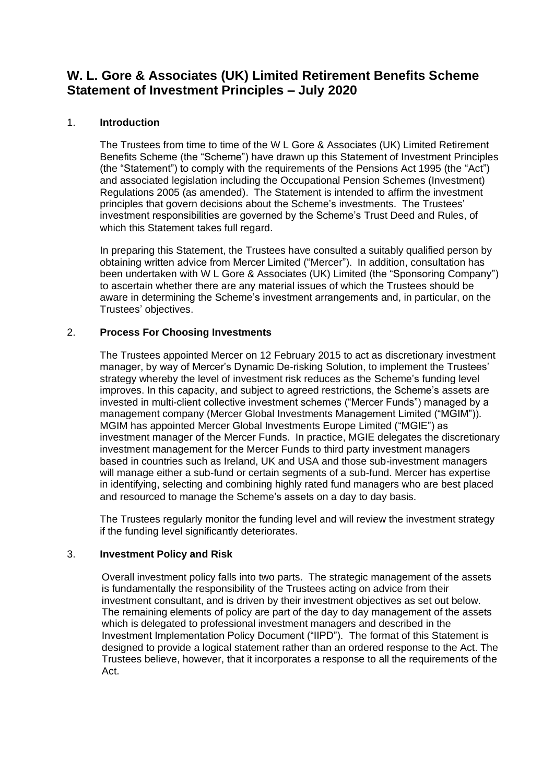# **W. L. Gore & Associates (UK) Limited Retirement Benefits Scheme Statement of Investment Principles – July 2020**

## 1. **Introduction**

The Trustees from time to time of the W L Gore & Associates (UK) Limited Retirement Benefits Scheme (the "Scheme") have drawn up this Statement of Investment Principles (the "Statement") to comply with the requirements of the Pensions Act 1995 (the "Act") and associated legislation including the Occupational Pension Schemes (Investment) Regulations 2005 (as amended). The Statement is intended to affirm the investment principles that govern decisions about the Scheme's investments. The Trustees' investment responsibilities are governed by the Scheme's Trust Deed and Rules, of which this Statement takes full regard.

In preparing this Statement, the Trustees have consulted a suitably qualified person by obtaining written advice from Mercer Limited ("Mercer"). In addition, consultation has been undertaken with W L Gore & Associates (UK) Limited (the "Sponsoring Company") to ascertain whether there are any material issues of which the Trustees should be aware in determining the Scheme's investment arrangements and, in particular, on the Trustees' objectives.

## 2. **Process For Choosing Investments**

The Trustees appointed Mercer on 12 February 2015 to act as discretionary investment manager, by way of Mercer's Dynamic De-risking Solution, to implement the Trustees' strategy whereby the level of investment risk reduces as the Scheme's funding level improves. In this capacity, and subject to agreed restrictions, the Scheme's assets are invested in multi-client collective investment schemes ("Mercer Funds") managed by a management company (Mercer Global Investments Management Limited ("MGIM")). MGIM has appointed Mercer Global Investments Europe Limited ("MGIE") as investment manager of the Mercer Funds. In practice, MGIE delegates the discretionary investment management for the Mercer Funds to third party investment managers based in countries such as Ireland, UK and USA and those sub-investment managers will manage either a sub-fund or certain segments of a sub-fund. Mercer has expertise in identifying, selecting and combining highly rated fund managers who are best placed and resourced to manage the Scheme's assets on a day to day basis.

The Trustees regularly monitor the funding level and will review the investment strategy if the funding level significantly deteriorates.

## 3. **Investment Policy and Risk**

Overall investment policy falls into two parts. The strategic management of the assets is fundamentally the responsibility of the Trustees acting on advice from their investment consultant, and is driven by their investment objectives as set out below. The remaining elements of policy are part of the day to day management of the assets which is delegated to professional investment managers and described in the Investment Implementation Policy Document ("IIPD"). The format of this Statement is designed to provide a logical statement rather than an ordered response to the Act. The Trustees believe, however, that it incorporates a response to all the requirements of the Act.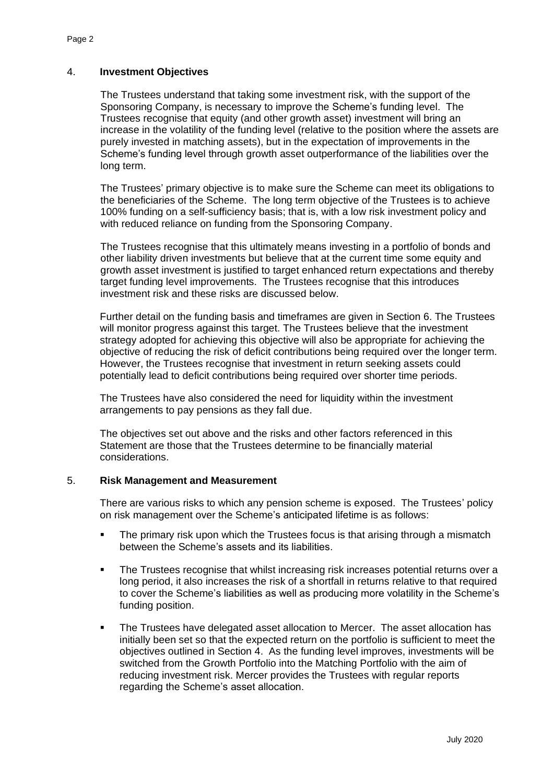### 4. **Investment Objectives**

The Trustees understand that taking some investment risk, with the support of the Sponsoring Company, is necessary to improve the Scheme's funding level. The Trustees recognise that equity (and other growth asset) investment will bring an increase in the volatility of the funding level (relative to the position where the assets are purely invested in matching assets), but in the expectation of improvements in the Scheme's funding level through growth asset outperformance of the liabilities over the long term.

The Trustees' primary objective is to make sure the Scheme can meet its obligations to the beneficiaries of the Scheme. The long term objective of the Trustees is to achieve 100% funding on a self-sufficiency basis; that is, with a low risk investment policy and with reduced reliance on funding from the Sponsoring Company.

The Trustees recognise that this ultimately means investing in a portfolio of bonds and other liability driven investments but believe that at the current time some equity and growth asset investment is justified to target enhanced return expectations and thereby target funding level improvements. The Trustees recognise that this introduces investment risk and these risks are discussed below.

Further detail on the funding basis and timeframes are given in Section 6. The Trustees will monitor progress against this target. The Trustees believe that the investment strategy adopted for achieving this objective will also be appropriate for achieving the objective of reducing the risk of deficit contributions being required over the longer term. However, the Trustees recognise that investment in return seeking assets could potentially lead to deficit contributions being required over shorter time periods.

The Trustees have also considered the need for liquidity within the investment arrangements to pay pensions as they fall due.

The objectives set out above and the risks and other factors referenced in this Statement are those that the Trustees determine to be financially material considerations.

#### 5. **Risk Management and Measurement**

There are various risks to which any pension scheme is exposed. The Trustees' policy on risk management over the Scheme's anticipated lifetime is as follows:

- The primary risk upon which the Trustees focus is that arising through a mismatch between the Scheme's assets and its liabilities.
- The Trustees recognise that whilst increasing risk increases potential returns over a long period, it also increases the risk of a shortfall in returns relative to that required to cover the Scheme's liabilities as well as producing more volatility in the Scheme's funding position.
- The Trustees have delegated asset allocation to Mercer. The asset allocation has initially been set so that the expected return on the portfolio is sufficient to meet the objectives outlined in Section 4. As the funding level improves, investments will be switched from the Growth Portfolio into the Matching Portfolio with the aim of reducing investment risk. Mercer provides the Trustees with regular reports regarding the Scheme's asset allocation.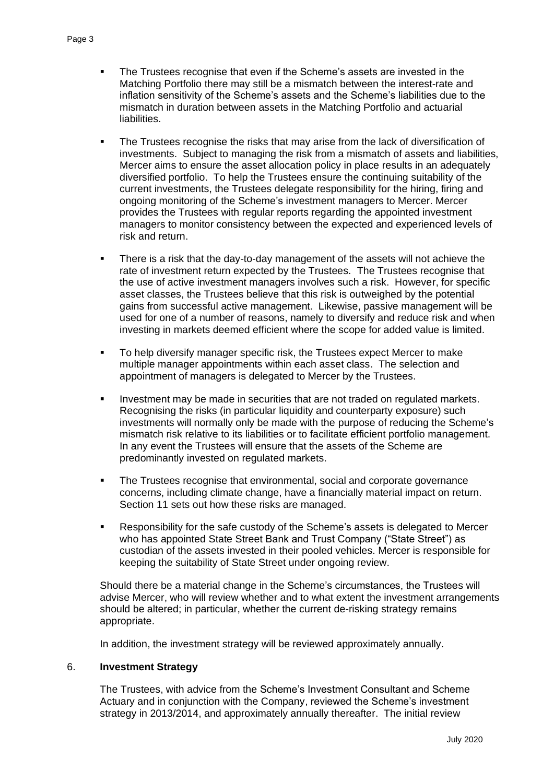- The Trustees recognise that even if the Scheme's assets are invested in the Matching Portfolio there may still be a mismatch between the interest-rate and inflation sensitivity of the Scheme's assets and the Scheme's liabilities due to the mismatch in duration between assets in the Matching Portfolio and actuarial liabilities.
- **The Trustees recognise the risks that may arise from the lack of diversification of** investments. Subject to managing the risk from a mismatch of assets and liabilities, Mercer aims to ensure the asset allocation policy in place results in an adequately diversified portfolio. To help the Trustees ensure the continuing suitability of the current investments, the Trustees delegate responsibility for the hiring, firing and ongoing monitoring of the Scheme's investment managers to Mercer. Mercer provides the Trustees with regular reports regarding the appointed investment managers to monitor consistency between the expected and experienced levels of risk and return.
- **EXEDEE IS A FI** There is a risk that the day-to-day management of the assets will not achieve the rate of investment return expected by the Trustees. The Trustees recognise that the use of active investment managers involves such a risk. However, for specific asset classes, the Trustees believe that this risk is outweighed by the potential gains from successful active management. Likewise, passive management will be used for one of a number of reasons, namely to diversify and reduce risk and when investing in markets deemed efficient where the scope for added value is limited.
- To help diversify manager specific risk, the Trustees expect Mercer to make multiple manager appointments within each asset class. The selection and appointment of managers is delegated to Mercer by the Trustees.
- Investment may be made in securities that are not traded on regulated markets. Recognising the risks (in particular liquidity and counterparty exposure) such investments will normally only be made with the purpose of reducing the Scheme's mismatch risk relative to its liabilities or to facilitate efficient portfolio management. In any event the Trustees will ensure that the assets of the Scheme are predominantly invested on regulated markets.
- The Trustees recognise that environmental, social and corporate governance concerns, including climate change, have a financially material impact on return. Section 11 sets out how these risks are managed.
- Responsibility for the safe custody of the Scheme's assets is delegated to Mercer who has appointed State Street Bank and Trust Company ("State Street") as custodian of the assets invested in their pooled vehicles. Mercer is responsible for keeping the suitability of State Street under ongoing review.

Should there be a material change in the Scheme's circumstances, the Trustees will advise Mercer, who will review whether and to what extent the investment arrangements should be altered; in particular, whether the current de-risking strategy remains appropriate.

In addition, the investment strategy will be reviewed approximately annually.

#### 6. **Investment Strategy**

The Trustees, with advice from the Scheme's Investment Consultant and Scheme Actuary and in conjunction with the Company, reviewed the Scheme's investment strategy in 2013/2014, and approximately annually thereafter. The initial review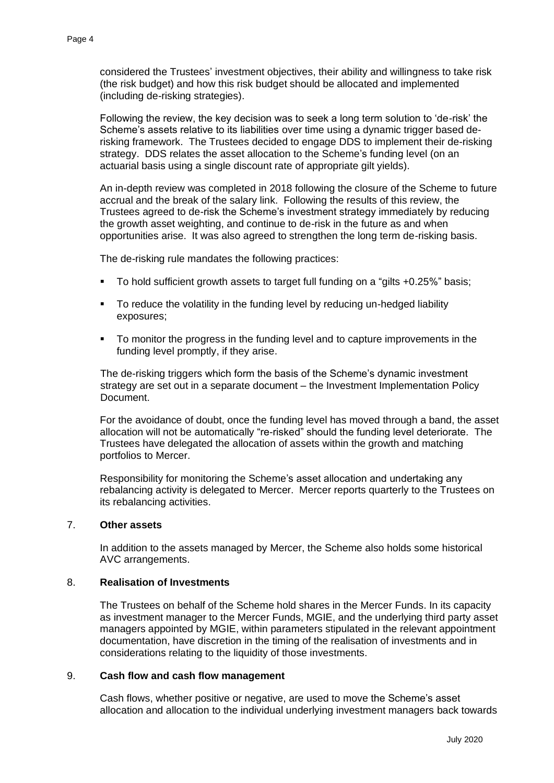considered the Trustees' investment objectives, their ability and willingness to take risk (the risk budget) and how this risk budget should be allocated and implemented (including de-risking strategies).

Following the review, the key decision was to seek a long term solution to 'de-risk' the Scheme's assets relative to its liabilities over time using a dynamic trigger based derisking framework. The Trustees decided to engage DDS to implement their de-risking strategy. DDS relates the asset allocation to the Scheme's funding level (on an actuarial basis using a single discount rate of appropriate gilt yields).

An in-depth review was completed in 2018 following the closure of the Scheme to future accrual and the break of the salary link. Following the results of this review, the Trustees agreed to de-risk the Scheme's investment strategy immediately by reducing the growth asset weighting, and continue to de-risk in the future as and when opportunities arise. It was also agreed to strengthen the long term de-risking basis.

The de-risking rule mandates the following practices:

- To hold sufficient growth assets to target full funding on a "gilts +0.25%" basis;
- To reduce the volatility in the funding level by reducing un-hedged liability exposures;
- To monitor the progress in the funding level and to capture improvements in the funding level promptly, if they arise.

The de-risking triggers which form the basis of the Scheme's dynamic investment strategy are set out in a separate document – the Investment Implementation Policy Document.

For the avoidance of doubt, once the funding level has moved through a band, the asset allocation will not be automatically "re-risked" should the funding level deteriorate. The Trustees have delegated the allocation of assets within the growth and matching portfolios to Mercer.

Responsibility for monitoring the Scheme's asset allocation and undertaking any rebalancing activity is delegated to Mercer. Mercer reports quarterly to the Trustees on its rebalancing activities.

#### 7. **Other assets**

In addition to the assets managed by Mercer, the Scheme also holds some historical AVC arrangements.

#### 8. **Realisation of Investments**

The Trustees on behalf of the Scheme hold shares in the Mercer Funds. In its capacity as investment manager to the Mercer Funds, MGIE, and the underlying third party asset managers appointed by MGIE, within parameters stipulated in the relevant appointment documentation, have discretion in the timing of the realisation of investments and in considerations relating to the liquidity of those investments.

#### 9. **Cash flow and cash flow management**

Cash flows, whether positive or negative, are used to move the Scheme's asset allocation and allocation to the individual underlying investment managers back towards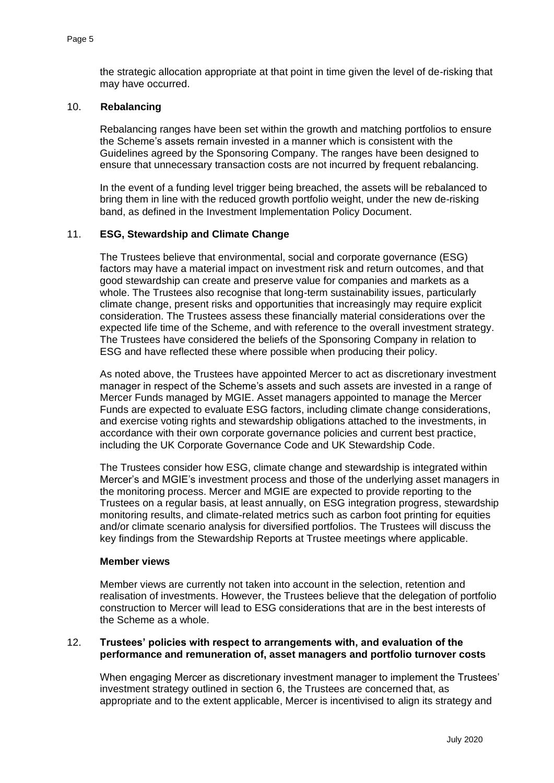the strategic allocation appropriate at that point in time given the level of de-risking that may have occurred.

#### 10. **Rebalancing**

Rebalancing ranges have been set within the growth and matching portfolios to ensure the Scheme's assets remain invested in a manner which is consistent with the Guidelines agreed by the Sponsoring Company. The ranges have been designed to ensure that unnecessary transaction costs are not incurred by frequent rebalancing.

In the event of a funding level trigger being breached, the assets will be rebalanced to bring them in line with the reduced growth portfolio weight, under the new de-risking band, as defined in the Investment Implementation Policy Document.

#### 11. **ESG, Stewardship and Climate Change**

The Trustees believe that environmental, social and corporate governance (ESG) factors may have a material impact on investment risk and return outcomes, and that good stewardship can create and preserve value for companies and markets as a whole. The Trustees also recognise that long-term sustainability issues, particularly climate change, present risks and opportunities that increasingly may require explicit consideration. The Trustees assess these financially material considerations over the expected life time of the Scheme, and with reference to the overall investment strategy. The Trustees have considered the beliefs of the Sponsoring Company in relation to ESG and have reflected these where possible when producing their policy.

As noted above, the Trustees have appointed Mercer to act as discretionary investment manager in respect of the Scheme's assets and such assets are invested in a range of Mercer Funds managed by MGIE. Asset managers appointed to manage the Mercer Funds are expected to evaluate ESG factors, including climate change considerations, and exercise voting rights and stewardship obligations attached to the investments, in accordance with their own corporate governance policies and current best practice, including the UK Corporate Governance Code and UK Stewardship Code.

The Trustees consider how ESG, climate change and stewardship is integrated within Mercer's and MGIE's investment process and those of the underlying asset managers in the monitoring process. Mercer and MGIE are expected to provide reporting to the Trustees on a regular basis, at least annually, on ESG integration progress, stewardship monitoring results, and climate-related metrics such as carbon foot printing for equities and/or climate scenario analysis for diversified portfolios. The Trustees will discuss the key findings from the Stewardship Reports at Trustee meetings where applicable.

#### **Member views**

Member views are currently not taken into account in the selection, retention and realisation of investments. However, the Trustees believe that the delegation of portfolio construction to Mercer will lead to ESG considerations that are in the best interests of the Scheme as a whole.

#### 12. **Trustees' policies with respect to arrangements with, and evaluation of the performance and remuneration of, asset managers and portfolio turnover costs**

When engaging Mercer as discretionary investment manager to implement the Trustees' investment strategy outlined in section 6, the Trustees are concerned that, as appropriate and to the extent applicable, Mercer is incentivised to align its strategy and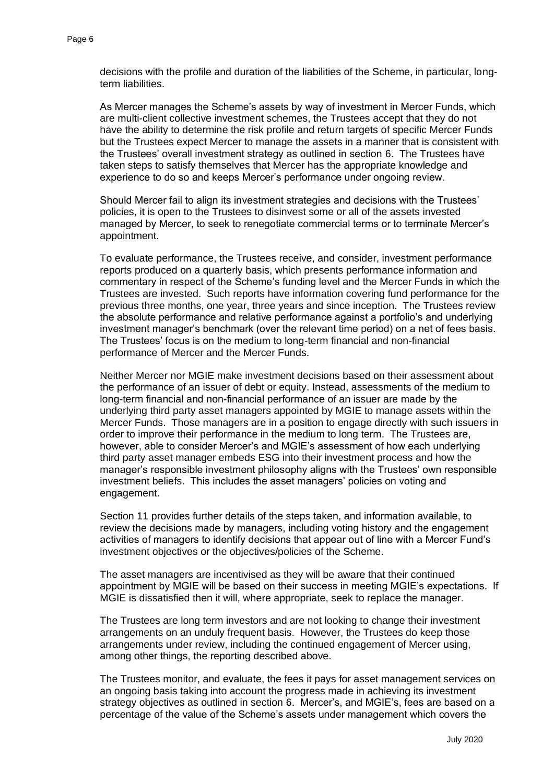decisions with the profile and duration of the liabilities of the Scheme, in particular, longterm liabilities.

As Mercer manages the Scheme's assets by way of investment in Mercer Funds, which are multi-client collective investment schemes, the Trustees accept that they do not have the ability to determine the risk profile and return targets of specific Mercer Funds but the Trustees expect Mercer to manage the assets in a manner that is consistent with the Trustees' overall investment strategy as outlined in section 6. The Trustees have taken steps to satisfy themselves that Mercer has the appropriate knowledge and experience to do so and keeps Mercer's performance under ongoing review.

Should Mercer fail to align its investment strategies and decisions with the Trustees' policies, it is open to the Trustees to disinvest some or all of the assets invested managed by Mercer, to seek to renegotiate commercial terms or to terminate Mercer's appointment.

To evaluate performance, the Trustees receive, and consider, investment performance reports produced on a quarterly basis, which presents performance information and commentary in respect of the Scheme's funding level and the Mercer Funds in which the Trustees are invested. Such reports have information covering fund performance for the previous three months, one year, three years and since inception. The Trustees review the absolute performance and relative performance against a portfolio's and underlying investment manager's benchmark (over the relevant time period) on a net of fees basis. The Trustees' focus is on the medium to long-term financial and non-financial performance of Mercer and the Mercer Funds.

Neither Mercer nor MGIE make investment decisions based on their assessment about the performance of an issuer of debt or equity. Instead, assessments of the medium to long-term financial and non-financial performance of an issuer are made by the underlying third party asset managers appointed by MGIE to manage assets within the Mercer Funds. Those managers are in a position to engage directly with such issuers in order to improve their performance in the medium to long term. The Trustees are, however, able to consider Mercer's and MGIE's assessment of how each underlying third party asset manager embeds ESG into their investment process and how the manager's responsible investment philosophy aligns with the Trustees' own responsible investment beliefs. This includes the asset managers' policies on voting and engagement.

Section 11 provides further details of the steps taken, and information available, to review the decisions made by managers, including voting history and the engagement activities of managers to identify decisions that appear out of line with a Mercer Fund's investment objectives or the objectives/policies of the Scheme.

The asset managers are incentivised as they will be aware that their continued appointment by MGIE will be based on their success in meeting MGIE's expectations. If MGIE is dissatisfied then it will, where appropriate, seek to replace the manager.

The Trustees are long term investors and are not looking to change their investment arrangements on an unduly frequent basis. However, the Trustees do keep those arrangements under review, including the continued engagement of Mercer using, among other things, the reporting described above.

The Trustees monitor, and evaluate, the fees it pays for asset management services on an ongoing basis taking into account the progress made in achieving its investment strategy objectives as outlined in section 6. Mercer's, and MGIE's, fees are based on a percentage of the value of the Scheme's assets under management which covers the